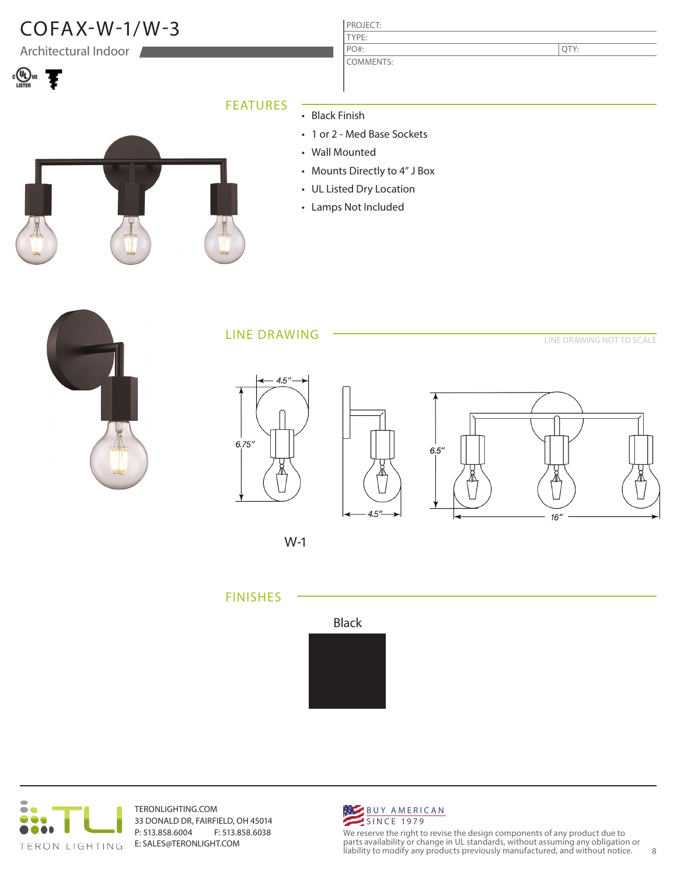

W-1





TERONLIGHTING.COM 33 DONALD DR, FAIRFIELD, OH 45014 P: 513.858.6004 F: 513.858.6038 E: SALES@TERONLIGHT.COM



We reserve the right to revise the design components of any product due to parts availability or change in UL standards, without assuming any obligation or liability to modify any products previously manufactured, and without notice. 8